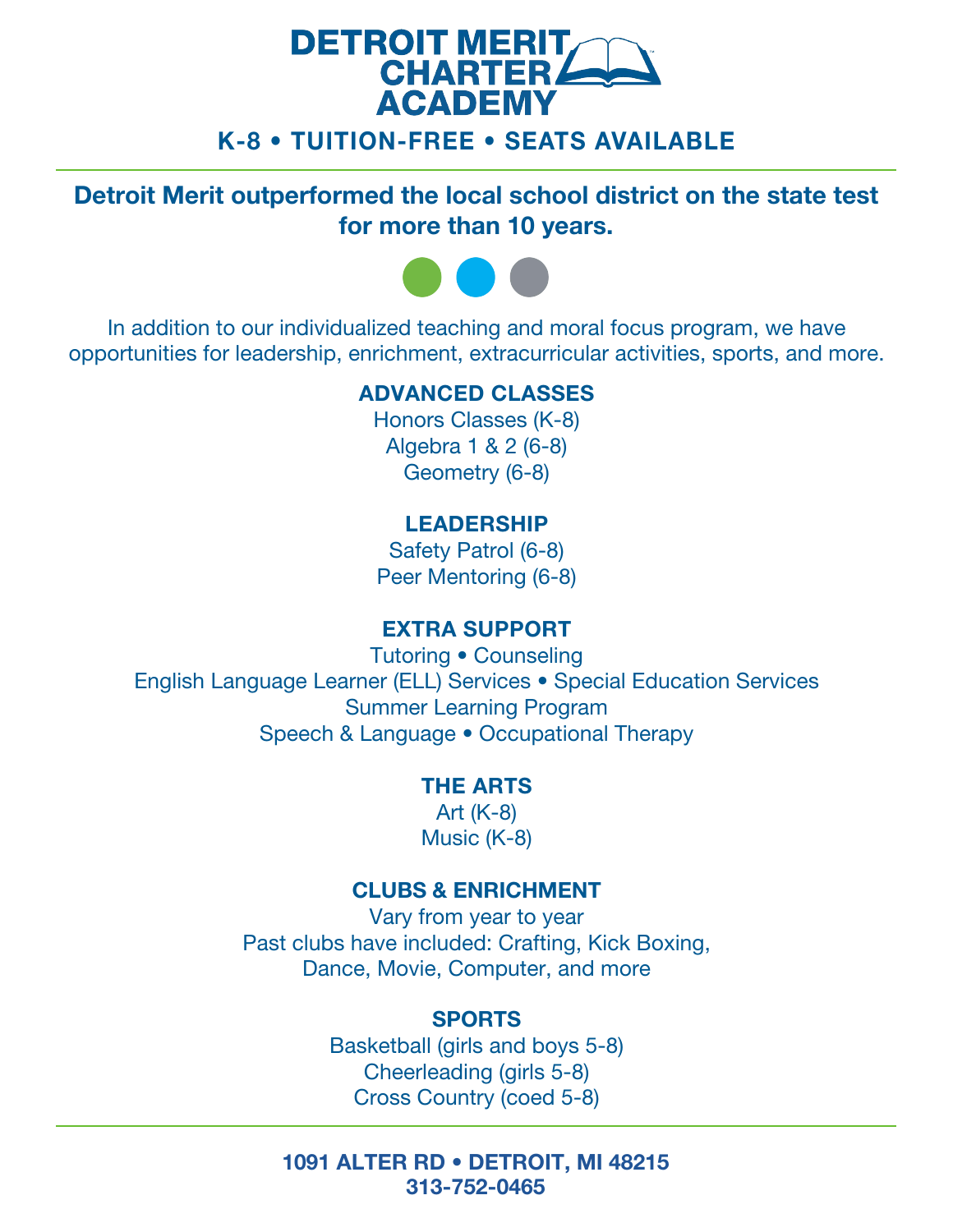# **DETROIT MERIT CHARTER4 ACADEMY** K-8 • TUITION-FREE • SEATS AVAILABLE

Detroit Merit outperformed the local school district on the state test for more than 10 years.



In addition to our individualized teaching and moral focus program, we have opportunities for leadership, enrichment, extracurricular activities, sports, and more.

### ADVANCED CLASSES

Honors Classes (K-8) Algebra 1 & 2 (6-8) Geometry (6-8)

## LEADERSHIP

Safety Patrol (6-8) Peer Mentoring (6-8)

## EXTRA SUPPORT

Tutoring • Counseling English Language Learner (ELL) Services • Special Education Services Summer Learning Program Speech & Language • Occupational Therapy

### THE ARTS

Art (K-8) Music (K-8)

## CLUBS & ENRICHMENT

Vary from year to year Past clubs have included: Crafting, Kick Boxing, Dance, Movie, Computer, and more

# SPORTS

Basketball (girls and boys 5-8) Cheerleading (girls 5-8) Cross Country (coed 5-8)

1091 ALTER RD • DETROIT, MI 48215 313-752-0465